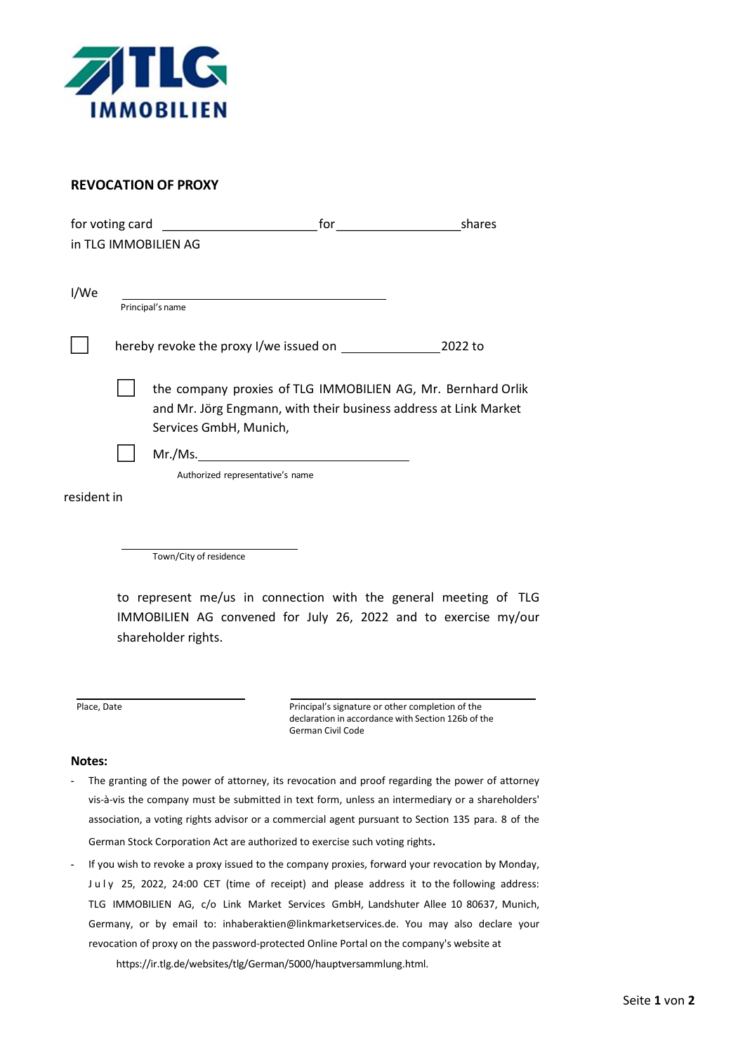

## REVOCATION OF PROXY

| in TLG IMMOBILIEN AG |                                                                                                                                                            |                                                                                                                                                            |  |  |
|----------------------|------------------------------------------------------------------------------------------------------------------------------------------------------------|------------------------------------------------------------------------------------------------------------------------------------------------------------|--|--|
| I/We                 | Principal's name                                                                                                                                           |                                                                                                                                                            |  |  |
|                      |                                                                                                                                                            |                                                                                                                                                            |  |  |
|                      |                                                                                                                                                            | the company proxies of TLG IMMOBILIEN AG, Mr. Bernhard Orlik<br>and Mr. Jörg Engmann, with their business address at Link Market<br>Services GmbH, Munich, |  |  |
|                      |                                                                                                                                                            | Authorized representative's name                                                                                                                           |  |  |
| resident in          |                                                                                                                                                            |                                                                                                                                                            |  |  |
|                      |                                                                                                                                                            | Town/City of residence                                                                                                                                     |  |  |
|                      |                                                                                                                                                            |                                                                                                                                                            |  |  |
|                      | to represent me/us in connection with the general meeting of TLG<br>IMMOBILIEN AG convened for July 26, 2022 and to exercise my/our<br>shareholder rights. |                                                                                                                                                            |  |  |

Place, Date **Principal's signature or other completion of the** declaration in accordance with Section 126b of the German Civil Code

## Notes:

- The granting of the power of attorney, its revocation and proof regarding the power of attorney vis-à-vis the company must be submitted in text form, unless an intermediary or a shareholders' association, a voting rights advisor or a commercial agent pursuant to Section 135 para. 8 of the German Stock Corporation Act are authorized to exercise such voting rights.
- If you wish to revoke a proxy issued to the company proxies, forward your revocation by Monday, July 25, 2022, 24:00 CET (time of receipt) and please address it to the following address: TLG IMMOBILIEN AG, c/o Link Market Services GmbH, Landshuter Allee 10 80637, Munich, Germany, or by email to: inhaberaktien@linkmarketservices.de. You may also declare your revocation of proxy on the password-protected Online Portal on the company's website at https://ir.tlg.de/websites/tlg/German/5000/hauptversammlung.html.